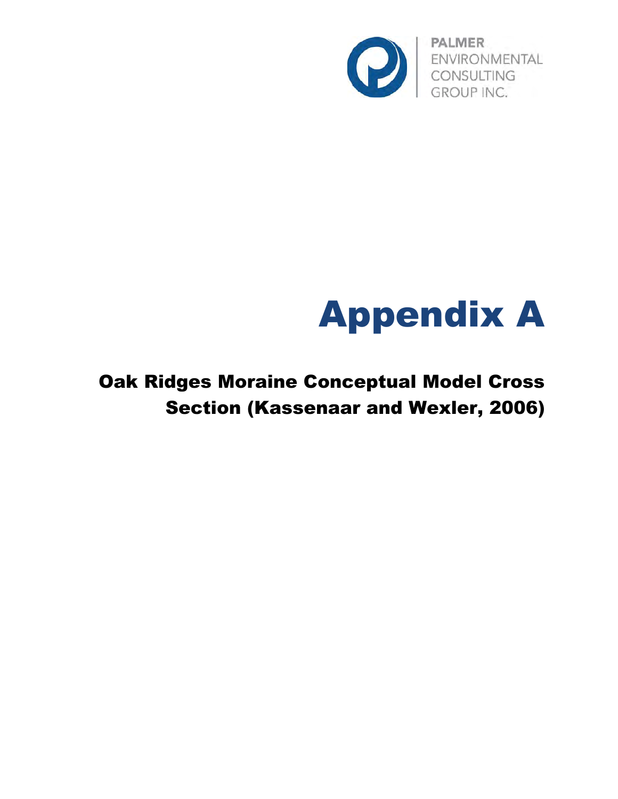

PALMER<br>ENVIRONMENTAL<br>CONSULTING<br>GROUP INC.



Oak Ridges Moraine Conceptual Model Cross Section (Kassenaar and Wexler, 2006)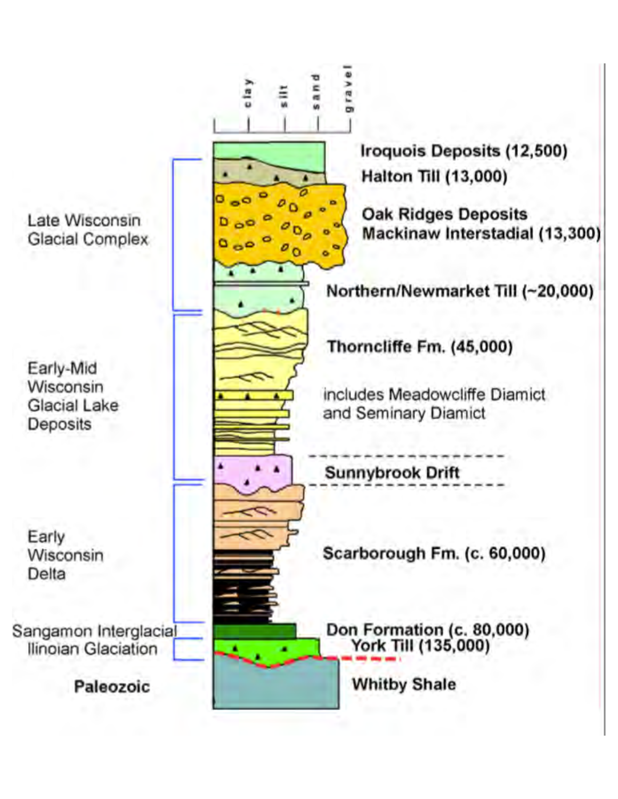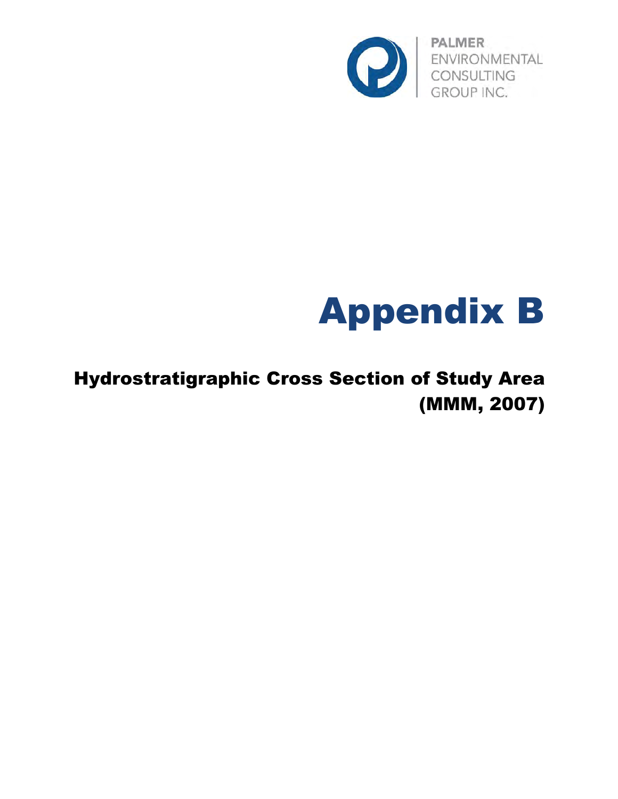

PALMER<br>ENVIRONMENTAL<br>CONSULTING<br>GROUP INC.

## Appendix B

Hydrostratigraphic Cross Section of Study Area (MMM, 2007)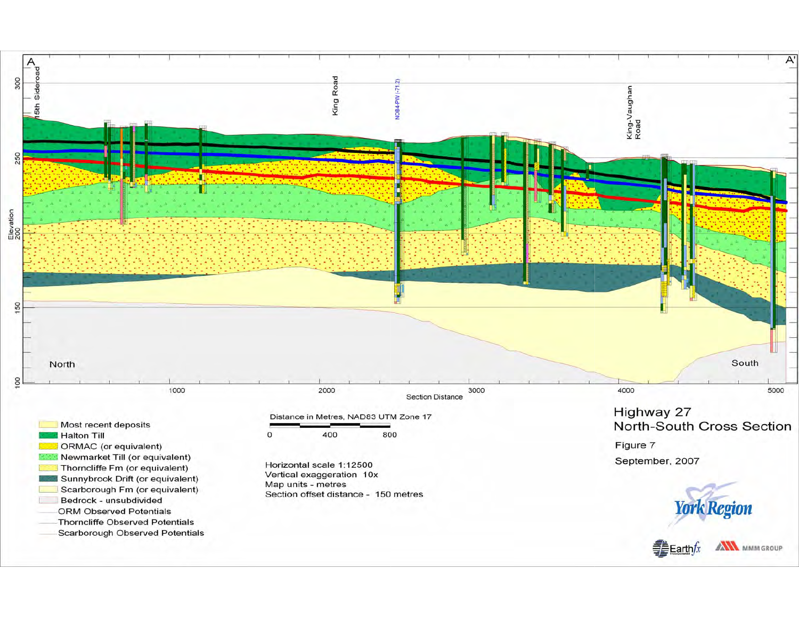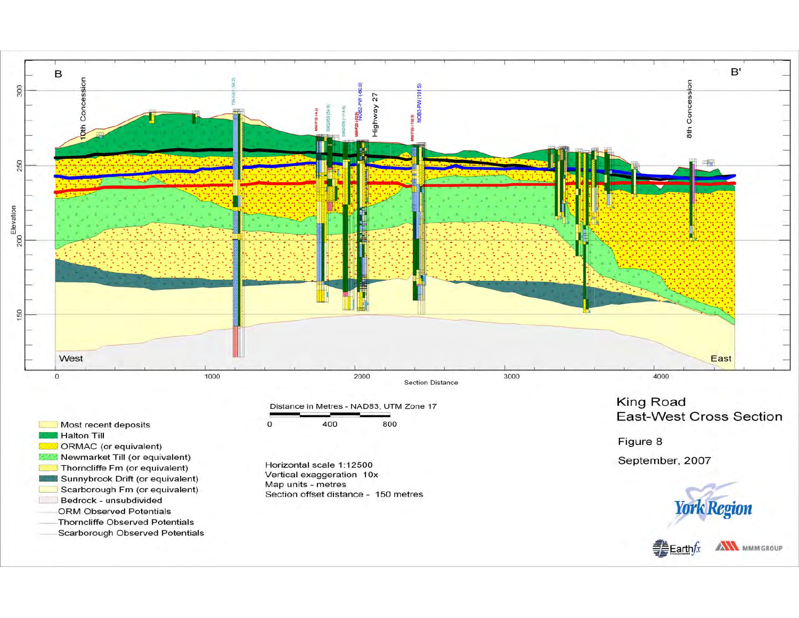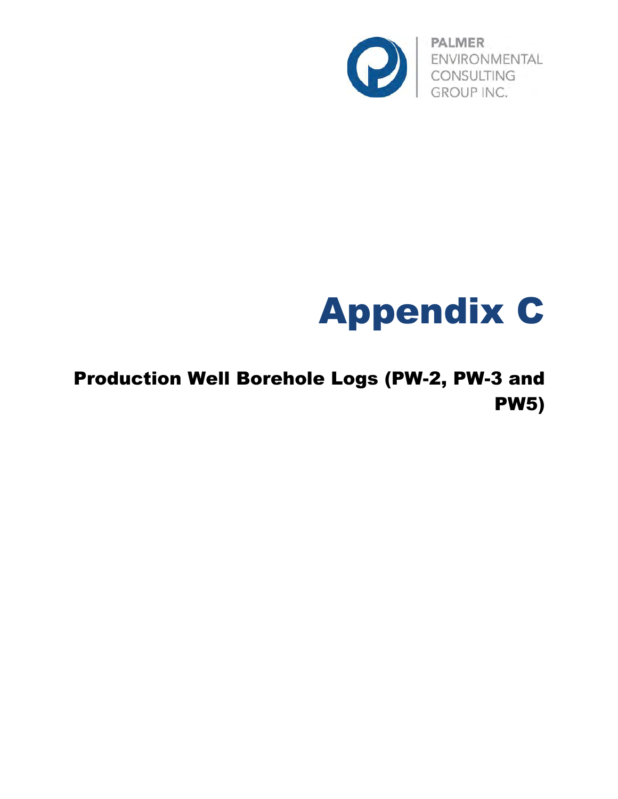

PALMER<br>ENVIRONMENTAL<br>CONSULTING<br>GROUP INC.

## Appendix C

Production Well Borehole Logs (PW-2, PW-3 and PW5)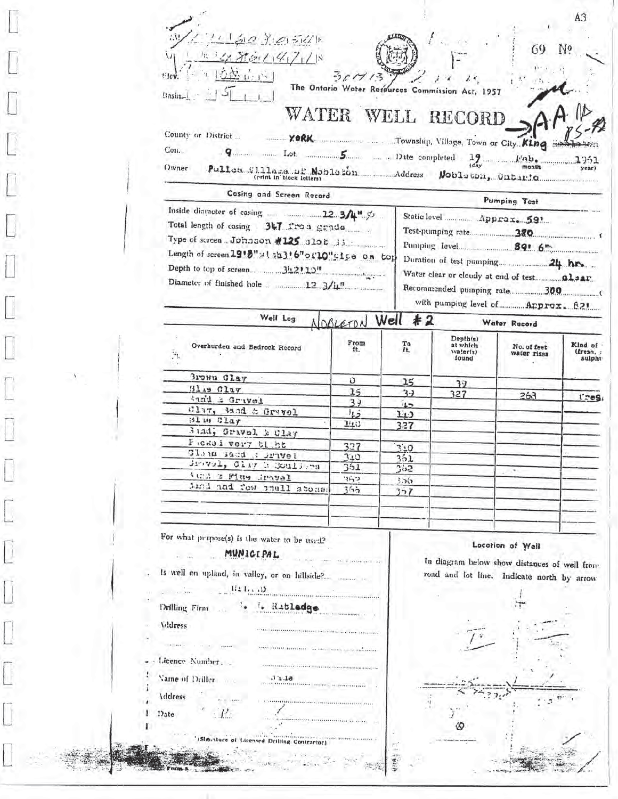|                                                                                                                                                                                                                                                                                                                      |                                            |             | The Ontario Water Resources Commission Act, 1957<br>WATER WELL RECORD |                                                                                            |                      |
|----------------------------------------------------------------------------------------------------------------------------------------------------------------------------------------------------------------------------------------------------------------------------------------------------------------------|--------------------------------------------|-------------|-----------------------------------------------------------------------|--------------------------------------------------------------------------------------------|----------------------|
| County or District <b>XORK.</b> We have a second of the City. King<br>Con.<br>Owner<br>Pulles William very really be and the settern and the contract of the settern and the contract of the settern and the contract of the settern and the settern and the settern and the settern and the settern and settern and |                                            |             |                                                                       |                                                                                            |                      |
| Casing and Screen Record                                                                                                                                                                                                                                                                                             |                                            |             |                                                                       | <b>Pumping Test</b>                                                                        |                      |
| Total length of casing 347 from grade<br>Type of screen Johnson #125 alot 33 Seconds<br>Length of screen 19'8"at ah3'6"of 10"tite on top<br>Depth to top of screen312220"<br>Diameter of finished hole   12.3/h"                                                                                                     |                                            |             |                                                                       | Static level  Approx. 59'<br>Water clear or cloudy at end of test 0134r.                   |                      |
| Well Log                                                                                                                                                                                                                                                                                                             | <b>ADBLETON</b> Well                       | $*2$        |                                                                       | with pumping level of  Approx. 62!<br><b>Water Record</b>                                  |                      |
| Overburden and Bedrock Record                                                                                                                                                                                                                                                                                        | From<br>ft.                                | To<br>圱     | Deoth(s)<br>at which<br>vater(s)<br>found                             | No. of feet<br>water rises                                                                 | Kind of<br>(fresh. : |
| BIDWG Clay                                                                                                                                                                                                                                                                                                           | υ                                          | 15          | 39                                                                    |                                                                                            |                      |
| VIII eilk                                                                                                                                                                                                                                                                                                            | 15                                         | $3 +$       | 327                                                                   | 268                                                                                        | $l$ res              |
| inni i Gravel<br>Clar, Band & Gravel                                                                                                                                                                                                                                                                                 | 39                                         | $11 -$      |                                                                       |                                                                                            |                      |
| Blue Clay                                                                                                                                                                                                                                                                                                            | خباأ<br>Luo                                | נע<br>327   |                                                                       |                                                                                            |                      |
| Sind, Grivel & Clay                                                                                                                                                                                                                                                                                                  |                                            |             |                                                                       |                                                                                            |                      |
| Ficked very blint                                                                                                                                                                                                                                                                                                    | 327                                        | 330         |                                                                       |                                                                                            |                      |
| Jlam sand : Brivel                                                                                                                                                                                                                                                                                                   | 340                                        | 351         |                                                                       |                                                                                            |                      |
|                                                                                                                                                                                                                                                                                                                      | 351<br>352                                 | 302         |                                                                       |                                                                                            |                      |
| Sportly Clay & Boulders                                                                                                                                                                                                                                                                                              |                                            | 3.56<br>357 |                                                                       |                                                                                            |                      |
| tund a Pine Spavel<br>Sind and fow then limit                                                                                                                                                                                                                                                                        | 355                                        |             |                                                                       |                                                                                            |                      |
| For what perpose(s) is the water to be used?                                                                                                                                                                                                                                                                         |                                            |             |                                                                       | Location of Well                                                                           |                      |
| <b>MUNICIPAL</b>                                                                                                                                                                                                                                                                                                     |                                            |             |                                                                       | In diagram below show distances of well from<br>road and lot line. Indicate north by arrow |                      |
| Drilling Firm <sup>1</sup> . <sup>1</sup> . Ritledge                                                                                                                                                                                                                                                                 |                                            |             |                                                                       |                                                                                            |                      |
| <b>Vidress</b><br>$\cos \theta$ and $\cos \theta$ and $\cos \theta$<br>sus zono menini - viteo son no plinini                                                                                                                                                                                                        |                                            |             |                                                                       |                                                                                            |                      |
| Licence Number.                                                                                                                                                                                                                                                                                                      | ade estado anteriore con comprehensivale d |             |                                                                       |                                                                                            |                      |
| Name of Driller<br>J1.18<br>Address                                                                                                                                                                                                                                                                                  |                                            |             |                                                                       |                                                                                            |                      |
| <b>Communication</b> and communication and<br>$\cdot$ $P$<br>Date                                                                                                                                                                                                                                                    |                                            |             |                                                                       |                                                                                            |                      |

 $\Box$ 

 $\Box$ 

 $\begin{bmatrix} 1 \\ 1 \end{bmatrix}$ 

E

T

 $\begin{bmatrix} \phantom{-} \end{bmatrix}$ 

 $\Box$ 

 $\Box$ 

I

L

E

J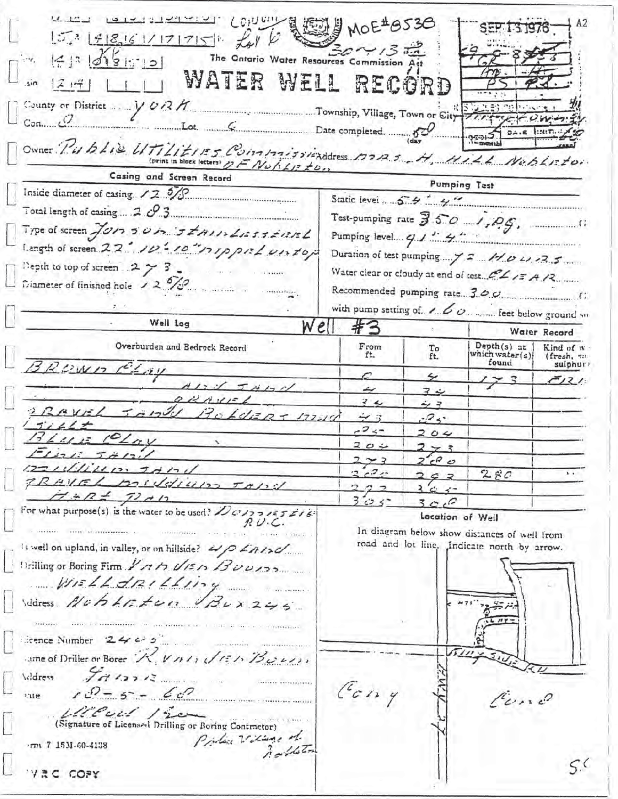KANN LOTELS SERVICES (CHANNA) 编编  $5712861/17775$  $-458650$ The Cntario Water Resources Commission WATER WELL RECORD  $|2 + 4|$ County or District ...  $y \, \omega \, R$  from the country of City of City of City of City of City of City of City of City of City of City of City of City of City of City of City of City of City of City of City of City of City of Con 2  $\frac{1}{\sqrt{2}}$  Date completed  $\frac{1}{\sqrt{2}}$ Owner Public UTilities Commissionialerus Donn 11, Hill Mehlito Casing and Screen Record **Pumping Test** Inside diameter of casing.  $/2$   $\frac{5}{3}$ . Static level  $.579 - 47$ Total length of casing  $2, 2, 3$ Test-pumping rate  $3.50 - 1.09$ , Type of screen Jon 5.0 h 5 thin LESSEREL Length of screen 22 10-10 10 10000 12 Duration of test pumping....  $y = 1/2041.35$ Depth to top of screen  $2 \succ 3$ . Water clear or cloudy at end of test. CL 13 A 12. Ciameter of finished hole  $2\frac{9}{2}$  $. . . . . . . . . . . . .$ with pump setting of ... .................... feet below ground so Well Log W el 孝ろ Water Record Overburden and Bedrock Record  $Depth(s)$  at From To Kind of w which water(s) ft. ft. (frash. su 3 ROWN CLAY found sulphur! С  $\overline{\phantom{a}}$ -3  $721$  $T_{H1}$ L,  $\overline{3}$   $\overline{4}$  $34$  $\div$  2  $2RAVE$  $J \rightarrow I \rightarrow \tilde{J}$  $LdE_R + D2240$  $17.5$  $\div$  3  $-2.$  $7166<sup>+</sup>$  $-25 204$  $441 12 101$  $20.4$  $2 \times 3$  $77/21$  $2 \times 3$  $2^{\sim}$ e  $2211/11122227$  $3.02$  $280$ ٠. 2 RAVEL Boilding TApil  $222$  $H+R+H$  $3035$  $3c_1$ For what purpose(s) is the water to be used? DOIDSOETEIE Location of Well  $P. U. C.$ In diagram below show distances of well from is well on upland, in valley, or on hillside?  $2/2$  /1/2 road and lot line. Indicate north by arrow. Drilling or Boring Firm Van VER BUULOS  $W_{15}$  LL drilling datess Nobleton Buxz45  $\therefore$ cence Number  $2462$ ame of Driller or Borer K. Vn11 JEh Boses  $5412212$ \:!dress  $C_{C12}$  4  $10 - 5 - 60$ Fond (Signature of Licensed Drilling or Boring Contractor) Produce Victoria of  $rm 7 15M-60-4138$  $\varsigma$ c **VEC COPY**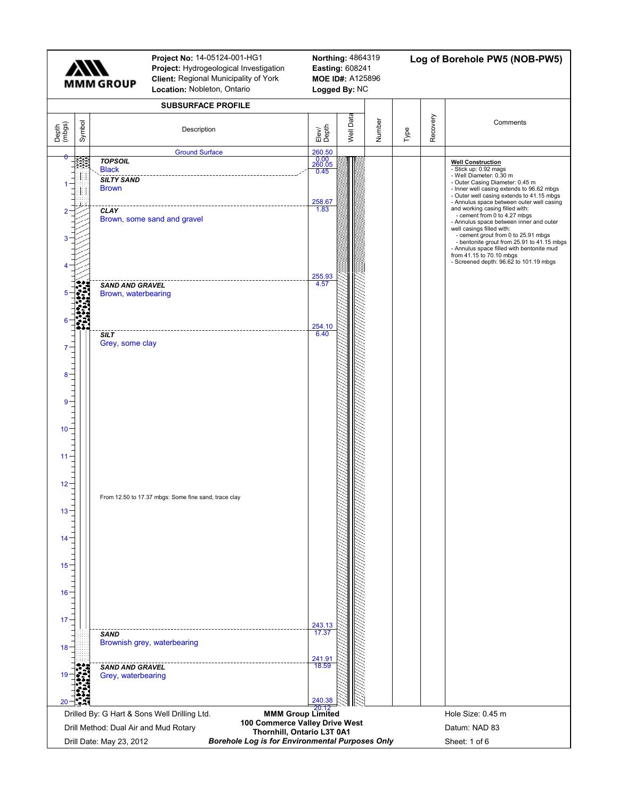|                                                                                  |        | <b>MMM GROUP</b>                              | Project No: 14-05124-001-HG1<br>Project: Hydrogeological Investigation<br><b>Client: Regional Municipality of York</b><br>Location: Nobleton, Ontario |                                                              | Northing: 4864319<br><b>Easting: 608241</b><br><b>MOE ID#: A125896</b><br>Logged By: NC |        |      |                                                                                                                                                                                                                                                                                                              | Log of Borehole PW5 (NOB-PW5)                                                                                                                                                                                                        |  |  |  |
|----------------------------------------------------------------------------------|--------|-----------------------------------------------|-------------------------------------------------------------------------------------------------------------------------------------------------------|--------------------------------------------------------------|-----------------------------------------------------------------------------------------|--------|------|--------------------------------------------------------------------------------------------------------------------------------------------------------------------------------------------------------------------------------------------------------------------------------------------------------------|--------------------------------------------------------------------------------------------------------------------------------------------------------------------------------------------------------------------------------------|--|--|--|
|                                                                                  |        |                                               | <b>SUBSURFACE PROFILE</b>                                                                                                                             |                                                              |                                                                                         |        |      |                                                                                                                                                                                                                                                                                                              |                                                                                                                                                                                                                                      |  |  |  |
| Depth<br>(mbgs)                                                                  | Symbol |                                               | Description                                                                                                                                           | Elev/<br>Depth                                               | Well Data                                                                               | Number | Type | Recovery                                                                                                                                                                                                                                                                                                     | Comments                                                                                                                                                                                                                             |  |  |  |
|                                                                                  |        | <b>TOPSOIL</b>                                | <b>Ground Surface</b>                                                                                                                                 | 260.50                                                       |                                                                                         |        |      |                                                                                                                                                                                                                                                                                                              |                                                                                                                                                                                                                                      |  |  |  |
|                                                                                  |        | <b>Black</b>                                  |                                                                                                                                                       | $\frac{0.00}{260.05}$<br>0.45                                |                                                                                         |        |      |                                                                                                                                                                                                                                                                                                              | <b>Well Construction</b><br>- Stick up: 0.92 mags                                                                                                                                                                                    |  |  |  |
|                                                                                  |        | <b>SILTY SAND</b><br><b>Brown</b>             |                                                                                                                                                       | 258.67                                                       |                                                                                         |        |      |                                                                                                                                                                                                                                                                                                              | - Well Diameter: 0.30 m<br>- Outer Casing Diameter: 0.45 m<br>- Inner well casing extends to 96.62 mbgs<br>- Outer well casing extends to 41.15 mbgs<br>- Annulus space between outer well casing<br>and working casing filled with: |  |  |  |
|                                                                                  |        | <b>CLAY</b><br>Brown, some sand and gravel    | 1.83<br>255.93                                                                                                                                        |                                                              |                                                                                         |        |      | - cement from 0 to 4.27 mbgs<br>- Annulus space between inner and outer<br>well casings filled with:<br>- cement grout from 0 to 25.91 mbgs<br>- bentonite grout from 25.91 to 41.15 mbgs<br>- Annulus space filled with bentonite mud<br>from 41.15 to 70.10 mbgs<br>- Screened depth: 96.62 to 101.19 mbgs |                                                                                                                                                                                                                                      |  |  |  |
|                                                                                  |        | <b>SAND AND GRAVEL</b><br>Brown, waterbearing |                                                                                                                                                       | 4.57<br>254.10                                               |                                                                                         |        |      |                                                                                                                                                                                                                                                                                                              |                                                                                                                                                                                                                                      |  |  |  |
|                                                                                  |        | <b>SILT</b><br>Grey, some clay                |                                                                                                                                                       | 6.40                                                         |                                                                                         |        |      |                                                                                                                                                                                                                                                                                                              |                                                                                                                                                                                                                                      |  |  |  |
| 8<br>9<br>10<br>11<br>12<br>13 <sup>2</sup><br>14<br>15 <sup>5</sup><br>16<br>17 |        |                                               | From 12.50 to 17.37 mbgs: Some fine sand, trace clay                                                                                                  | 243.13                                                       |                                                                                         |        |      |                                                                                                                                                                                                                                                                                                              |                                                                                                                                                                                                                                      |  |  |  |
| 18                                                                               |        | SAND                                          | Brownish grey, waterbearing                                                                                                                           | 17.37<br>241.91                                              |                                                                                         |        |      |                                                                                                                                                                                                                                                                                                              |                                                                                                                                                                                                                                      |  |  |  |
| 20                                                                               |        | <b>SAND AND GRAVEL</b><br>Grey, waterbearing  |                                                                                                                                                       | 18.59<br>240.38                                              |                                                                                         |        |      |                                                                                                                                                                                                                                                                                                              |                                                                                                                                                                                                                                      |  |  |  |
|                                                                                  |        |                                               | Drilled By: G Hart & Sons Well Drilling Ltd.                                                                                                          | 20.12<br><b>MMM Group Limited</b>                            |                                                                                         |        |      |                                                                                                                                                                                                                                                                                                              | Hole Size: 0.45 m                                                                                                                                                                                                                    |  |  |  |
|                                                                                  |        |                                               | Drill Method: Dual Air and Mud Rotary                                                                                                                 | 100 Commerce Valley Drive West<br>Thornhill, Ontario L3T 0A1 |                                                                                         |        |      |                                                                                                                                                                                                                                                                                                              | Datum: NAD 83                                                                                                                                                                                                                        |  |  |  |
|                                                                                  |        | Drill Date: May 23, 2012                      |                                                                                                                                                       | <b>Borehole Log is for Environmental Purposes Only</b>       |                                                                                         |        |      |                                                                                                                                                                                                                                                                                                              | Sheet: 1 of 6                                                                                                                                                                                                                        |  |  |  |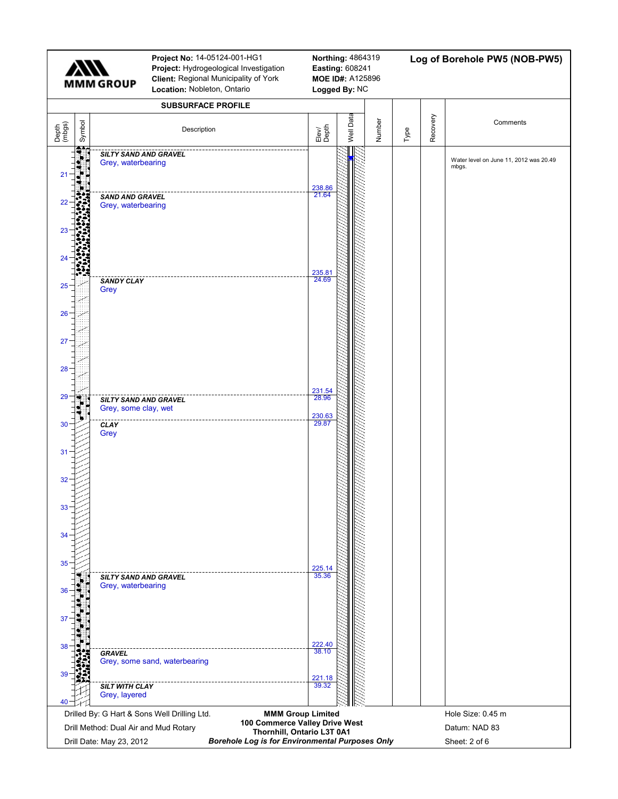| Project No: 14-05124-001-HG1<br>Project: Hydrogeological Investigation<br><b>Client: Regional Municipality of York</b><br><b>MMM GROUP</b><br>Location: Nobleton, Ontario |                                                                                                                                                                                                                               |                                                  |                                                                               |                          |                                                | Northing: 4864319<br><b>Easting: 608241</b><br><b>MOE ID#: A125896</b><br>Logged By: NC |        | Log of Borehole PW5 (NOB-PW5) |          |                                                 |  |
|---------------------------------------------------------------------------------------------------------------------------------------------------------------------------|-------------------------------------------------------------------------------------------------------------------------------------------------------------------------------------------------------------------------------|--------------------------------------------------|-------------------------------------------------------------------------------|--------------------------|------------------------------------------------|-----------------------------------------------------------------------------------------|--------|-------------------------------|----------|-------------------------------------------------|--|
|                                                                                                                                                                           |                                                                                                                                                                                                                               |                                                  | <b>SUBSURFACE PROFILE</b>                                                     |                          |                                                |                                                                                         |        |                               |          |                                                 |  |
| Depth<br>(mbgs)                                                                                                                                                           | Symbol                                                                                                                                                                                                                        |                                                  | Description                                                                   |                          | Elev/<br>Depth                                 | Well Data                                                                               | Number | Type                          | Recovery | Comments                                        |  |
|                                                                                                                                                                           |                                                                                                                                                                                                                               | Grey, waterbearing                               | <b>SILTY SAND AND GRAVEL</b>                                                  |                          | 238.86<br>21.64                                |                                                                                         |        |                               |          | Water level on June 11, 2012 was 20.49<br>mbgs. |  |
|                                                                                                                                                                           |                                                                                                                                                                                                                               | <b>SAND AND GRAVEL</b><br>Grey, waterbearing     |                                                                               |                          | 235.81                                         |                                                                                         |        |                               |          |                                                 |  |
| 25<br>26<br>27<br>28                                                                                                                                                      |                                                                                                                                                                                                                               | <b>SANDY CLAY</b><br>Grey                        |                                                                               |                          | 24.69                                          |                                                                                         |        |                               |          |                                                 |  |
| 29<br>30<br>31<br>32<br>33<br>34                                                                                                                                          |                                                                                                                                                                                                                               | Grey, some clay, wet<br><b>CLAY</b><br>Grey      | SILTY SAND AND GRAVEL                                                         |                          | 231.54<br>28.96<br>230.63<br>29.87             |                                                                                         |        |                               |          |                                                 |  |
| 35                                                                                                                                                                        |                                                                                                                                                                                                                               | Grey, waterbearing                               | <b>SILTY SAND AND GRAVEL</b>                                                  |                          | $\frac{225.14}{35.36}$                         |                                                                                         |        |                               |          |                                                 |  |
| 39<br>40                                                                                                                                                                  |                                                                                                                                                                                                                               | <b>GRAVEL</b><br>SILT WITH CLAY<br>Grey, layered | Grey, some sand, waterbearing<br>Drilled By: G Hart & Sons Well Drilling Ltd. | <b>MMM Group Limited</b> | 222.40<br>38.10<br>221.18<br>$\frac{1}{39.32}$ |                                                                                         |        |                               |          | Hole Size: 0.45 m                               |  |
|                                                                                                                                                                           | 100 Commerce Valley Drive West<br>Drill Method: Dual Air and Mud Rotary<br>Datum: NAD 83<br>Thornhill, Ontario L3T 0A1<br><b>Borehole Log is for Environmental Purposes Only</b><br>Drill Date: May 23, 2012<br>Sheet: 2 of 6 |                                                  |                                                                               |                          |                                                |                                                                                         |        |                               |          |                                                 |  |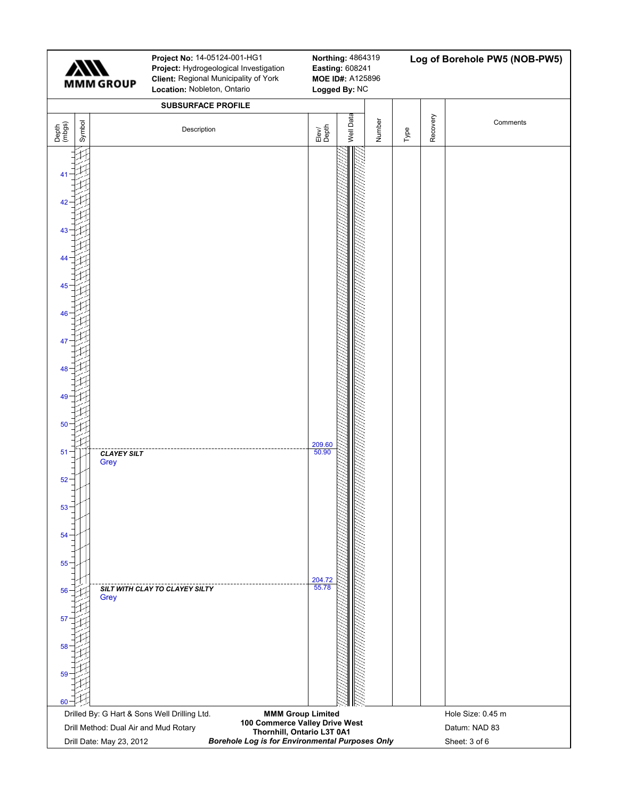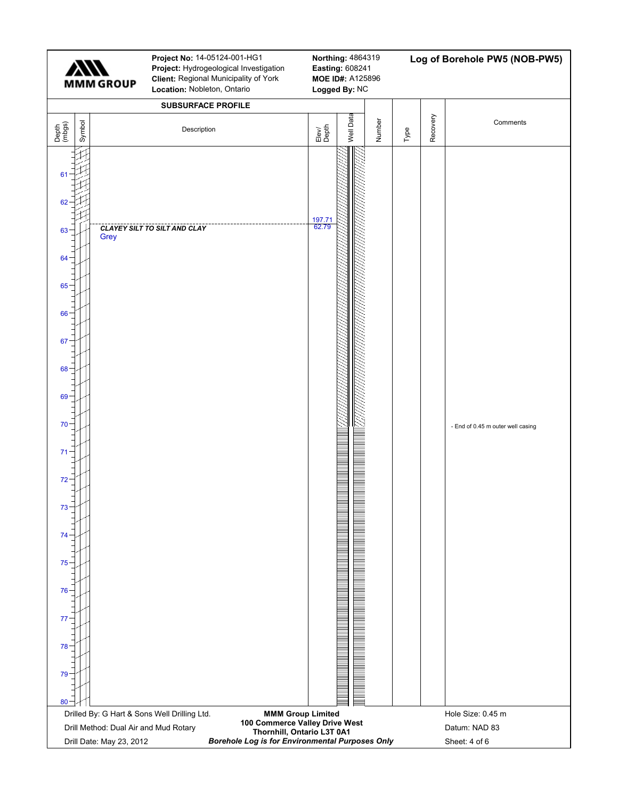| Project No: 14-05124-001-HG1<br><b>MMM GROUP</b><br>Location: Nobleton, Ontario                                                                        |                                                                                                                                   |      |                                              | Northing: 4864319<br>Project: Hydrogeological Investigation<br><b>Easting: 608241</b><br><b>Client: Regional Municipality of York</b><br><b>MOE ID#: A125896</b><br>Logged By: NC |                 |           |        |      | Log of Borehole PW5 (NOB-PW5) |                                   |  |  |  |
|--------------------------------------------------------------------------------------------------------------------------------------------------------|-----------------------------------------------------------------------------------------------------------------------------------|------|----------------------------------------------|-----------------------------------------------------------------------------------------------------------------------------------------------------------------------------------|-----------------|-----------|--------|------|-------------------------------|-----------------------------------|--|--|--|
|                                                                                                                                                        |                                                                                                                                   |      | <b>SUBSURFACE PROFILE</b>                    |                                                                                                                                                                                   |                 |           |        |      |                               |                                   |  |  |  |
| Depth<br>(mbgs)                                                                                                                                        | Symbol                                                                                                                            |      | Description                                  |                                                                                                                                                                                   | Elev/<br>Depth  | Well Data | Number | Type | Recovery                      | Comments                          |  |  |  |
| 61<br>62<br>63<br>$64 -$<br>65<br>66<br>67<br>68<br>$69 -$<br>$70 -$<br>71<br>$72 -$<br>73<br>74<br>75 <sup>°</sup><br>$76 -$<br>77<br>78 <sup>°</sup> |                                                                                                                                   | Grey | <b>CLAYEY SILT TO SILT AND CLAY</b>          |                                                                                                                                                                                   | 197.71<br>62.79 |           |        |      |                               | - End of 0.45 m outer well casing |  |  |  |
| 79 <sup>°</sup><br>80                                                                                                                                  |                                                                                                                                   |      |                                              |                                                                                                                                                                                   |                 |           |        |      |                               |                                   |  |  |  |
|                                                                                                                                                        |                                                                                                                                   |      | Drilled By: G Hart & Sons Well Drilling Ltd. | <b>MMM Group Limited</b>                                                                                                                                                          |                 |           |        |      |                               | Hole Size: 0.45 m                 |  |  |  |
|                                                                                                                                                        |                                                                                                                                   |      | Drill Method: Dual Air and Mud Rotary        | 100 Commerce Valley Drive West                                                                                                                                                    |                 |           |        |      |                               | Datum: NAD 83                     |  |  |  |
|                                                                                                                                                        | Thornhill, Ontario L3T 0A1<br><b>Borehole Log is for Environmental Purposes Only</b><br>Sheet: 4 of 6<br>Drill Date: May 23, 2012 |      |                                              |                                                                                                                                                                                   |                 |           |        |      |                               |                                   |  |  |  |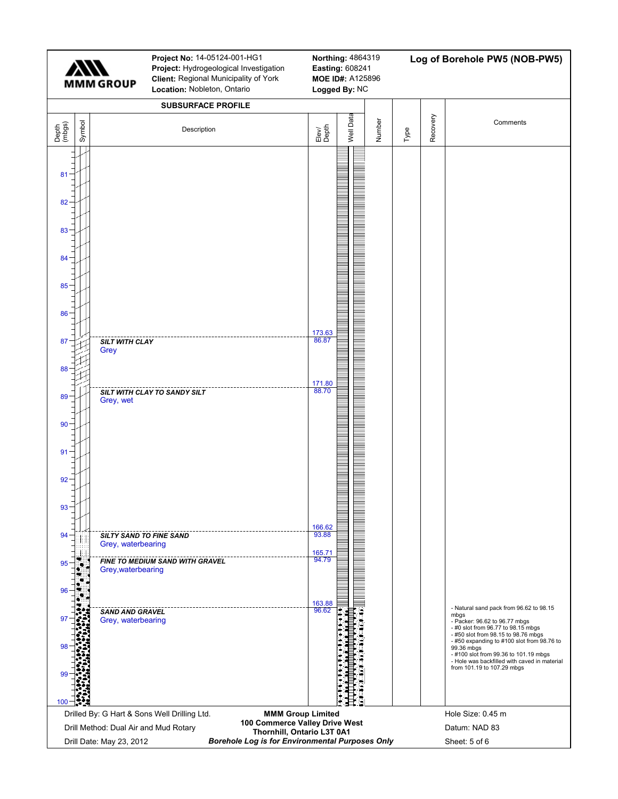